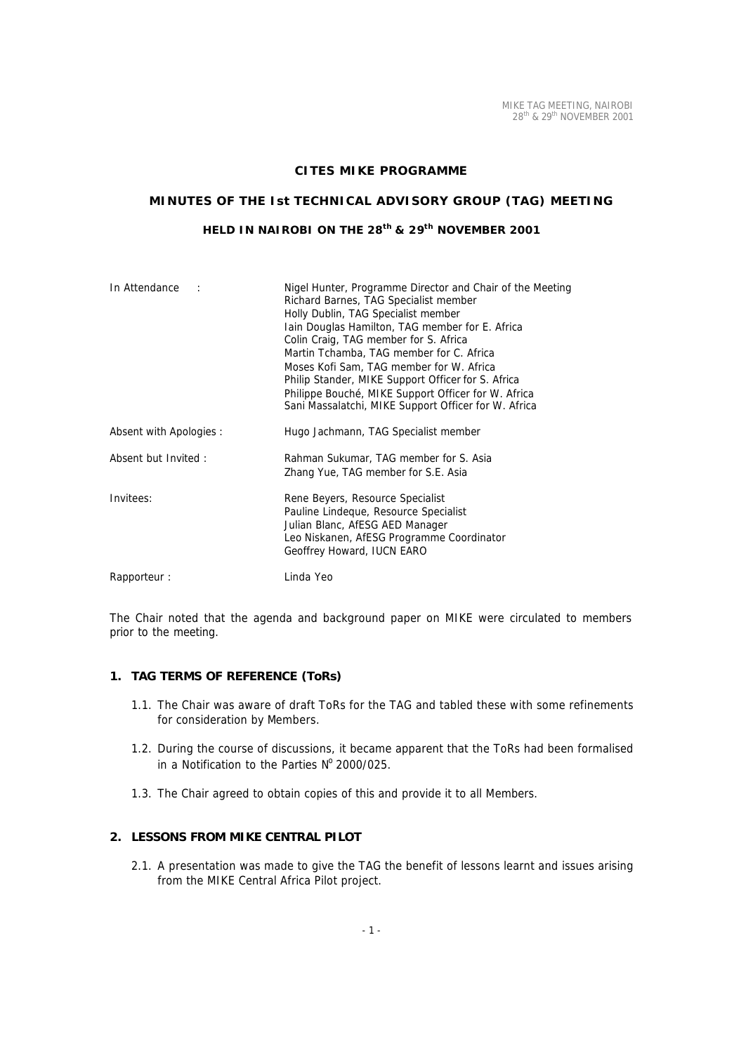## **CITES MIKE PROGRAMME**

# **MINUTES OF THE Ist TECHNICAL ADVISORY GROUP (TAG) MEETING**

# **HELD IN NAIROBI ON THE 28th & 29th NOVEMBER 2001**

| In Attendance           | Nigel Hunter, Programme Director and Chair of the Meeting<br>Richard Barnes, TAG Specialist member<br>Holly Dublin, TAG Specialist member<br>Iain Douglas Hamilton, TAG member for E. Africa<br>Colin Craig, TAG member for S. Africa<br>Martin Tchamba, TAG member for C. Africa<br>Moses Kofi Sam, TAG member for W. Africa<br>Philip Stander, MIKE Support Officer for S. Africa<br>Philippe Bouché, MIKE Support Officer for W. Africa<br>Sani Massalatchi, MIKE Support Officer for W. Africa |
|-------------------------|----------------------------------------------------------------------------------------------------------------------------------------------------------------------------------------------------------------------------------------------------------------------------------------------------------------------------------------------------------------------------------------------------------------------------------------------------------------------------------------------------|
| Absent with Apologies : | Hugo Jachmann, TAG Specialist member                                                                                                                                                                                                                                                                                                                                                                                                                                                               |
| Absent but Invited:     | Rahman Sukumar, TAG member for S. Asia<br>Zhang Yue, TAG member for S.E. Asia                                                                                                                                                                                                                                                                                                                                                                                                                      |
| Invitees:               | Rene Beyers, Resource Specialist<br>Pauline Lindeque, Resource Specialist<br>Julian Blanc, AfESG AED Manager<br>Leo Niskanen, AfESG Programme Coordinator<br>Geoffrey Howard, IUCN EARO                                                                                                                                                                                                                                                                                                            |
| Rapporteur:             | Linda Yeo                                                                                                                                                                                                                                                                                                                                                                                                                                                                                          |

The Chair noted that the agenda and background paper on MIKE were circulated to members prior to the meeting.

# **1. TAG TERMS OF REFERENCE (ToRs)**

- 1.1. The Chair was aware of draft ToRs for the TAG and tabled these with some refinements for consideration by Members.
- 1.2. During the course of discussions, it became apparent that the ToRs had been formalised in a Notification to the Parties  $N^{\circ}$  2000/025.
- 1.3. The Chair agreed to obtain copies of this and provide it to all Members.

# **2. LESSONS FROM MIKE CENTRAL PILOT**

2.1. A presentation was made to give the TAG the benefit of lessons learnt and issues arising from the MIKE Central Africa Pilot project.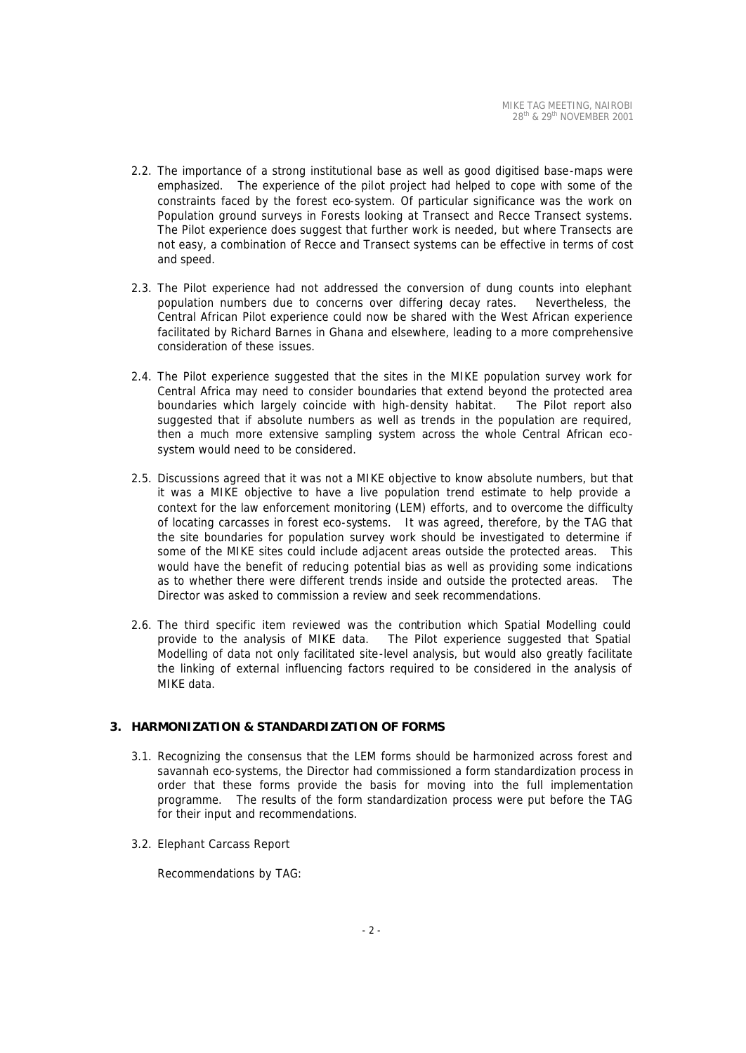- 2.2. The importance of a strong institutional base as well as good digitised base-maps were emphasized. The experience of the pilot project had helped to cope with some of the constraints faced by the forest eco-system. Of particular significance was the work on Population ground surveys in Forests looking at Transect and Recce Transect systems. The Pilot experience does suggest that further work is needed, but where Transects are not easy, a combination of Recce and Transect systems can be effective in terms of cost and speed.
- 2.3. The Pilot experience had not addressed the conversion of dung counts into elephant population numbers due to concerns over differing decay rates. Nevertheless, the Central African Pilot experience could now be shared with the West African experience facilitated by Richard Barnes in Ghana and elsewhere, leading to a more comprehensive consideration of these issues.
- 2.4. The Pilot experience suggested that the sites in the MIKE population survey work for Central Africa may need to consider boundaries that extend beyond the protected area boundaries which largely coincide with high-density habitat. The Pilot report also suggested that if absolute numbers as well as trends in the population are required, then a much more extensive sampling system across the whole Central African ecosystem would need to be considered.
- 2.5. Discussions agreed that it was not a MIKE objective to know absolute numbers, but that it was a MIKE objective to have a live population trend estimate to help provide a context for the law enforcement monitoring (LEM) efforts, and to overcome the difficulty of locating carcasses in forest eco-systems. It was agreed, therefore, by the TAG that the site boundaries for population survey work should be investigated to determine if some of the MIKE sites could include adjacent areas outside the protected areas. This would have the benefit of reducing potential bias as well as providing some indications as to whether there were different trends inside and outside the protected areas. The Director was asked to commission a review and seek recommendations.
- 2.6. The third specific item reviewed was the contribution which Spatial Modelling could provide to the analysis of MIKE data. The Pilot experience suggested that Spatial Modelling of data not only facilitated site-level analysis, but would also greatly facilitate the linking of external influencing factors required to be considered in the analysis of MIKE data.

### **3. HARMONIZATION & STANDARDIZATION OF FORMS**

- 3.1. Recognizing the consensus that the LEM forms should be harmonized across forest and savannah eco-systems, the Director had commissioned a form standardization process in order that these forms provide the basis for moving into the full implementation programme. The results of the form standardization process were put before the TAG for their input and recommendations.
- 3.2. Elephant Carcass Report

Recommendations by TAG: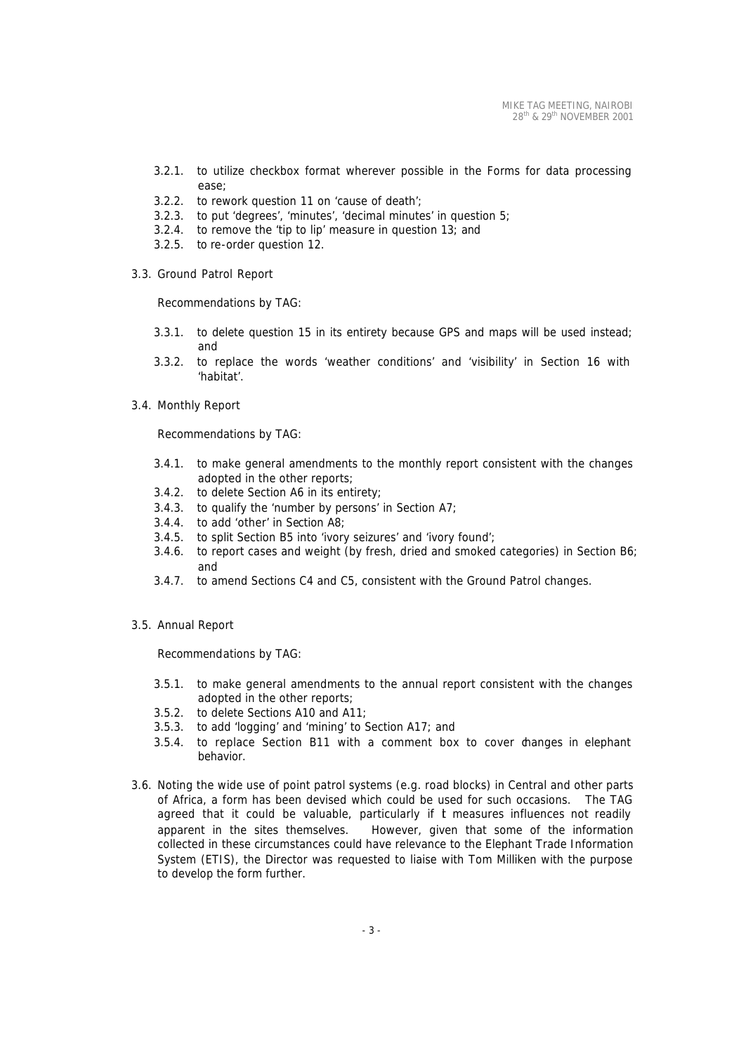- 3.2.1. to utilize checkbox format wherever possible in the Forms for data processing ease;
- 3.2.2. to rework question 11 on 'cause of death';
- 3.2.3. to put 'degrees', 'minutes', 'decimal minutes' in question 5;
- 3.2.4. to remove the 'tip to lip' measure in question 13; and
- 3.2.5. to re-order question 12.
- 3.3. Ground Patrol Report

Recommendations by TAG:

- 3.3.1. to delete question 15 in its entirety because GPS and maps will be used instead; and
- 3.3.2. to replace the words 'weather conditions' and 'visibility' in Section 16 with 'habitat'.
- 3.4. Monthly Report

Recommendations by TAG:

- 3.4.1. to make general amendments to the monthly report consistent with the changes adopted in the other reports;
- 3.4.2. to delete Section A6 in its entirety;
- 3.4.3. to qualify the 'number by persons' in Section A7;
- 3.4.4. to add 'other' in Section A8;
- 3.4.5. to split Section B5 into 'ivory seizures' and 'ivory found';
- 3.4.6. to report cases and weight (by fresh, dried and smoked categories) in Section B6; and
- 3.4.7. to amend Sections C4 and C5, consistent with the Ground Patrol changes.
- 3.5. Annual Report

Recommendations by TAG:

- 3.5.1. to make general amendments to the annual report consistent with the changes adopted in the other reports;
- 3.5.2. to delete Sections A10 and A11;
- 3.5.3. to add 'logging' and 'mining' to Section A17; and
- 3.5.4. to replace Section B11 with a comment box to cover changes in elephant behavior.
- 3.6. Noting the wide use of point patrol systems (e.g. road blocks) in Central and other parts of Africa, a form has been devised which could be used for such occasions. The TAG agreed that it could be valuable, particularly if t measures influences not readily apparent in the sites themselves. However, given that some of the information collected in these circumstances could have relevance to the Elephant Trade Information System (ETIS), the Director was requested to liaise with Tom Milliken with the purpose to develop the form further.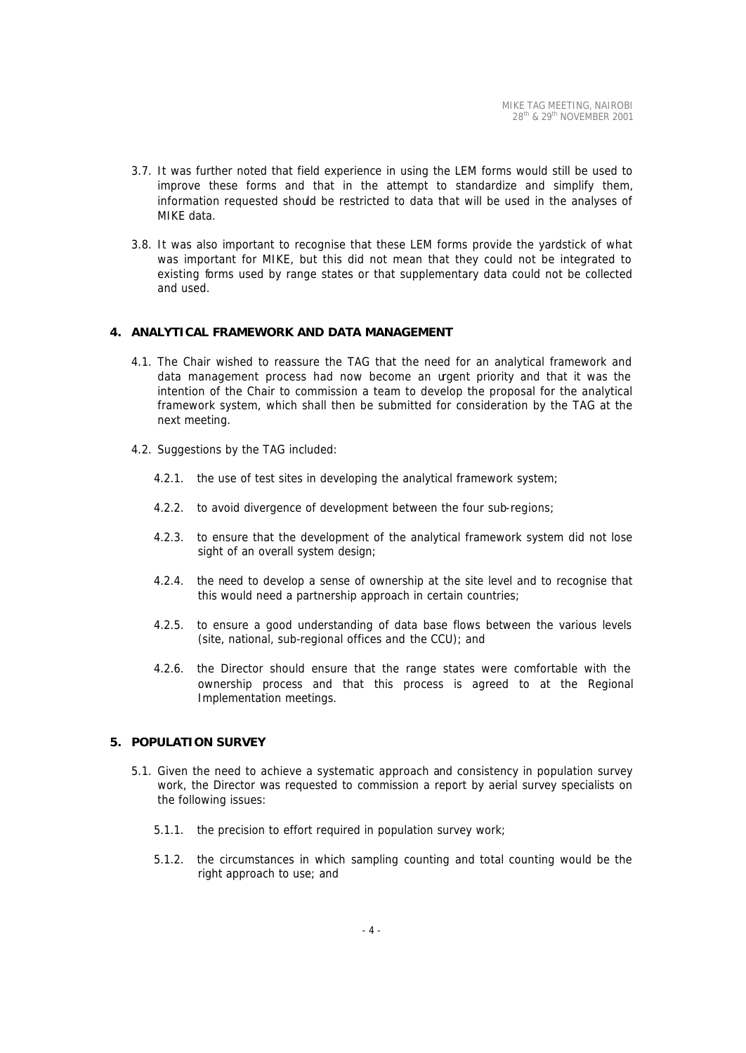- 3.7. It was further noted that field experience in using the LEM forms would still be used to improve these forms and that in the attempt to standardize and simplify them, information requested should be restricted to data that will be used in the analyses of MIKE data.
- 3.8. It was also important to recognise that these LEM forms provide the yardstick of what was important for MIKE, but this did not mean that they could not be integrated to existing forms used by range states or that supplementary data could not be collected and used.

### **4. ANALYTICAL FRAMEWORK AND DATA MANAGEMENT**

- 4.1. The Chair wished to reassure the TAG that the need for an analytical framework and data management process had now become an urgent priority and that it was the intention of the Chair to commission a team to develop the proposal for the analytical framework system, which shall then be submitted for consideration by the TAG at the next meeting.
- 4.2. Suggestions by the TAG included:
	- 4.2.1. the use of test sites in developing the analytical framework system;
	- 4.2.2. to avoid divergence of development between the four sub-regions;
	- 4.2.3. to ensure that the development of the analytical framework system did not lose sight of an overall system design;
	- 4.2.4. the need to develop a sense of ownership at the site level and to recognise that this would need a partnership approach in certain countries;
	- 4.2.5. to ensure a good understanding of data base flows between the various levels (site, national, sub-regional offices and the CCU); and
	- 4.2.6. the Director should ensure that the range states were comfortable with the ownership process and that this process is agreed to at the Regional Implementation meetings.

### **5. POPULATION SURVEY**

- 5.1. Given the need to achieve a systematic approach and consistency in population survey work, the Director was requested to commission a report by aerial survey specialists on the following issues:
	- 5.1.1. the precision to effort required in population survey work;
	- 5.1.2. the circumstances in which sampling counting and total counting would be the right approach to use; and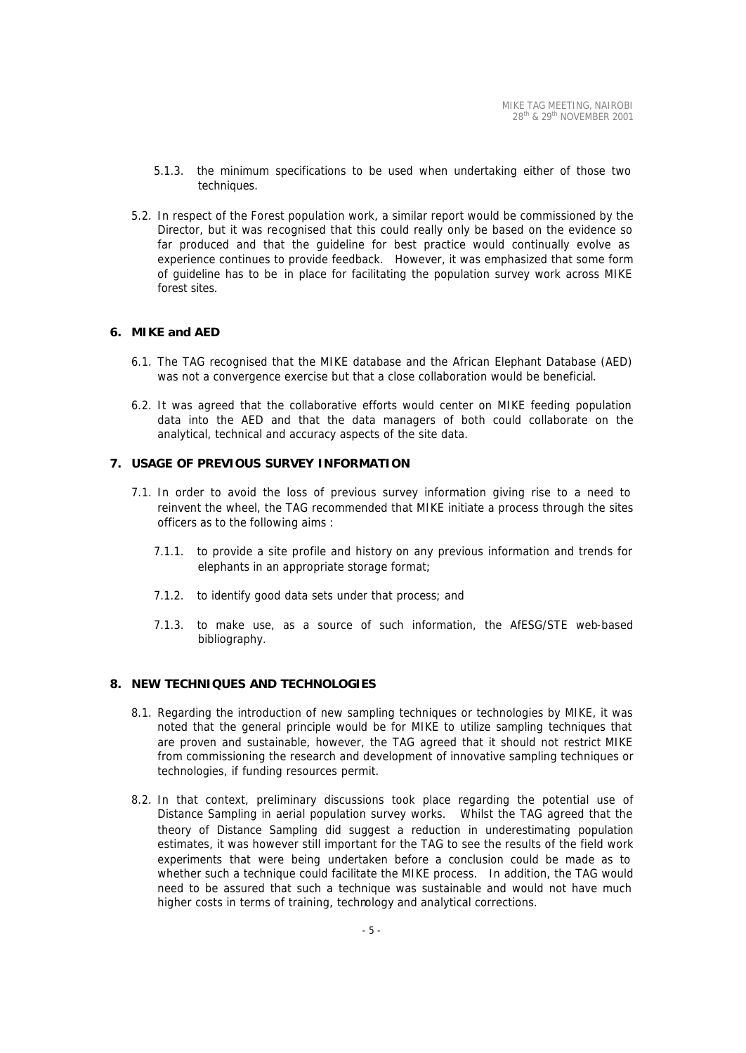- 5.1.3. the minimum specifications to be used when undertaking either of those two techniques.
- 5.2. In respect of the Forest population work, a similar report would be commissioned by the Director, but it was recognised that this could really only be based on the evidence so far produced and that the guideline for best practice would continually evolve as experience continues to provide feedback. However, it was emphasized that some form of guideline has to be in place for facilitating the population survey work across MIKE forest sites.

## **6. MIKE and AED**

- 6.1. The TAG recognised that the MIKE database and the African Elephant Database (AED) was not a convergence exercise but that a close collaboration would be beneficial.
- 6.2. It was agreed that the collaborative efforts would center on MIKE feeding population data into the AED and that the data managers of both could collaborate on the analytical, technical and accuracy aspects of the site data.

#### **7. USAGE OF PREVIOUS SURVEY INFORMATION**

- 7.1. In order to avoid the loss of previous survey information giving rise to a need to reinvent the wheel, the TAG recommended that MIKE initiate a process through the sites officers as to the following aims :
	- 7.1.1. to provide a site profile and history on any previous information and trends for elephants in an appropriate storage format;
	- 7.1.2. to identify good data sets under that process; and
	- 7.1.3. to make use, as a source of such information, the AfESG/STE web-based bibliography.

#### **8. NEW TECHNIQUES AND TECHNOLOGIES**

- 8.1. Regarding the introduction of new sampling techniques or technologies by MIKE, it was noted that the general principle would be for MIKE to utilize sampling techniques that are proven and sustainable, however, the TAG agreed that it should not restrict MIKE from commissioning the research and development of innovative sampling techniques or technologies, if funding resources permit.
- 8.2. In that context, preliminary discussions took place regarding the potential use of Distance Sampling in aerial population survey works. Whilst the TAG agreed that the theory of Distance Sampling did suggest a reduction in underestimating population estimates, it was however still important for the TAG to see the results of the field work experiments that were being undertaken before a conclusion could be made as to whether such a technique could facilitate the MIKE process. In addition, the TAG would need to be assured that such a technique was sustainable and would not have much higher costs in terms of training, technology and analytical corrections.